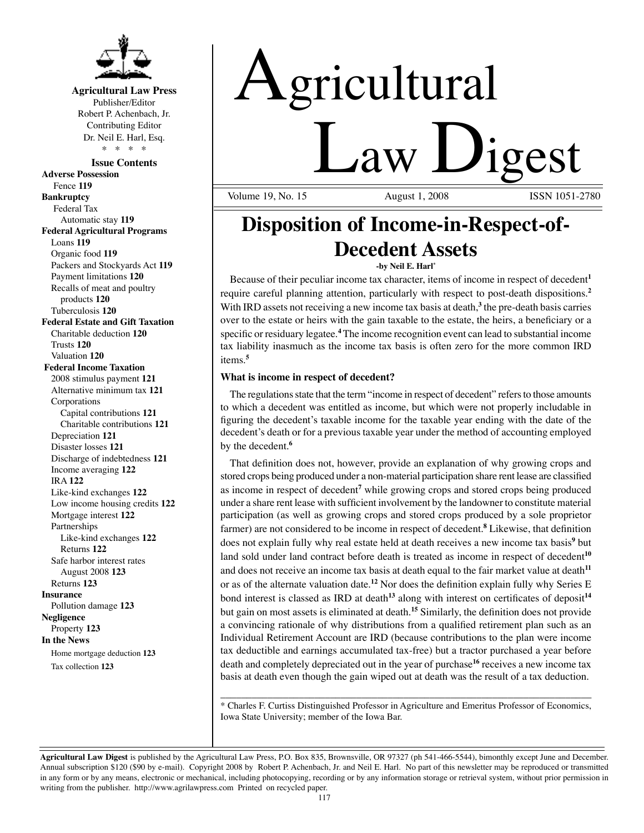

### **Agricultural Law Press**

Publisher/Editor Robert P. Achenbach, Jr. Contributing Editor Dr. Neil E. Harl, Esq. \* \* \* \*

**Issue Contents Adverse Possession** Fence **119 Bankruptcy** Federal Tax Automatic stay **119 Federal Agricultural Programs** Loans **119** Organic food **119** Packers and Stockyards Act **119** Payment limitations **120** Recalls of meat and poultry products **120** Tuberculosis **120 Federal Estate and Gift Taxation** Charitable deduction **120** Trusts **120** Valuation **120 Federal Income Taxation** 2008 stimulus payment **121** Alternative minimum tax **121** Corporations Capital contributions **121** Charitable contributions **121** Depreciation **121** Disaster losses **121** Discharge of indebtedness **121** Income averaging **122** IRA **122** Like-kind exchanges **122** Low income housing credits **122** Mortgage interest **122** Partnerships Like-kind exchanges **122** Returns **122** Safe harbor interest rates August 2008 **123** Returns **123 Insurance** Pollution damage **123 Negligence** Property **123 In the News** Home mortgage deduction **123** Tax collection **123**

# Agricultural **Law Digest**

Volume 19, No. 15

## **Disposition of Income-in-Respect-of-Decedent Assets**

#### **-by Neil E. Harl\***

Because of their peculiar income tax character, items of income in respect of decedent**<sup>1</sup>** require careful planning attention, particularly with respect to post-death dispositions.**<sup>2</sup>** With IRD assets not receiving a new income tax basis at death,<sup>3</sup> the pre-death basis carries over to the estate or heirs with the gain taxable to the estate, the heirs, a beneficiary or a specific or residuary legatee.**<sup>4</sup>** The income recognition event can lead to substantial income tax liability inasmuch as the income tax basis is often zero for the more common IRD items.**<sup>5</sup>**

#### **What is income in respect of decedent?**

The regulations state that the term "income in respect of decedent" refers to those amounts to which a decedent was entitled as income, but which were not properly includable in figuring the decedent's taxable income for the taxable year ending with the date of the decedent's death or for a previous taxable year under the method of accounting employed by the decedent.**<sup>6</sup>**

That definition does not, however, provide an explanation of why growing crops and stored crops being produced under a non-material participation share rent lease are classified as income in respect of decedent**<sup>7</sup>** while growing crops and stored crops being produced under a share rent lease with sufficient involvement by the landowner to constitute material participation (as well as growing crops and stored crops produced by a sole proprietor farmer) are not considered to be income in respect of decedent.**<sup>8</sup>** Likewise, that definition does not explain fully why real estate held at death receives a new income tax basis**<sup>9</sup>** but land sold under land contract before death is treated as income in respect of decedent**<sup>10</sup>** and does not receive an income tax basis at death equal to the fair market value at death**<sup>11</sup>** or as of the alternate valuation date.**<sup>12</sup>** Nor does the definition explain fully why Series E bond interest is classed as IRD at death**<sup>13</sup>** along with interest on certificates of deposit**<sup>14</sup>** but gain on most assets is eliminated at death.**<sup>15</sup>** Similarly, the definition does not provide a convincing rationale of why distributions from a qualified retirement plan such as an Individual Retirement Account are IRD (because contributions to the plan were income tax deductible and earnings accumulated tax-free) but a tractor purchased a year before death and completely depreciated out in the year of purchase**<sup>16</sup>** receives a new income tax basis at death even though the gain wiped out at death was the result of a tax deduction.

\_\_\_\_\_\_\_\_\_\_\_\_\_\_\_\_\_\_\_\_\_\_\_\_\_\_\_\_\_\_\_\_\_\_\_\_\_\_\_\_\_\_\_\_\_\_\_\_\_\_\_\_\_\_\_\_\_\_\_\_\_\_\_\_\_\_\_\_\_\_\_ \* Charles F. Curtiss Distinguished Professor in Agriculture and Emeritus Professor of Economics, Iowa State University; member of the Iowa Bar.

**Agricultural Law Digest** is published by the Agricultural Law Press, P.O. Box 835, Brownsville, OR 97327 (ph 541-466-5544), bimonthly except June and December. Annual subscription \$120 (\$90 by e-mail). Copyright 2008 by Robert P. Achenbach, Jr. and Neil E. Harl. No part of this newsletter may be reproduced or transmitted in any form or by any means, electronic or mechanical, including photocopying, recording or by any information storage or retrieval system, without prior permission in writing from the publisher. http://www.agrilawpress.com Printed on recycled paper.